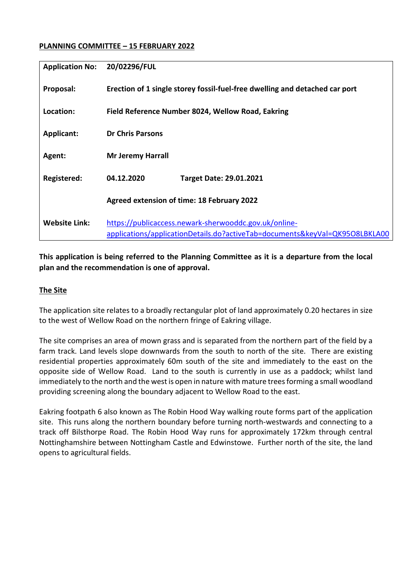#### **PLANNING COMMITTEE – 15 FEBRUARY 2022**

| <b>Application No:</b> | 20/02296/FUL                                                                                                                         |  |  |  |  |  |  |
|------------------------|--------------------------------------------------------------------------------------------------------------------------------------|--|--|--|--|--|--|
| Proposal:              | Erection of 1 single storey fossil-fuel-free dwelling and detached car port                                                          |  |  |  |  |  |  |
| Location:              | Field Reference Number 8024, Wellow Road, Eakring                                                                                    |  |  |  |  |  |  |
| <b>Applicant:</b>      | <b>Dr Chris Parsons</b>                                                                                                              |  |  |  |  |  |  |
| Agent:                 | <b>Mr Jeremy Harrall</b>                                                                                                             |  |  |  |  |  |  |
| Registered:            | 04.12.2020<br><b>Target Date: 29.01.2021</b>                                                                                         |  |  |  |  |  |  |
|                        | Agreed extension of time: 18 February 2022                                                                                           |  |  |  |  |  |  |
| <b>Website Link:</b>   | https://publicaccess.newark-sherwooddc.gov.uk/online-<br>applications/applicationDetails.do?activeTab=documents&keyVal=QK95O8LBKLA00 |  |  |  |  |  |  |

**This application is being referred to the Planning Committee as it is a departure from the local plan and the recommendation is one of approval.** 

### **The Site**

The application site relates to a broadly rectangular plot of land approximately 0.20 hectares in size to the west of Wellow Road on the northern fringe of Eakring village.

The site comprises an area of mown grass and is separated from the northern part of the field by a farm track. Land levels slope downwards from the south to north of the site. There are existing residential properties approximately 60m south of the site and immediately to the east on the opposite side of Wellow Road. Land to the south is currently in use as a paddock; whilst land immediately to the north and the west is open in nature with mature trees forming a small woodland providing screening along the boundary adjacent to Wellow Road to the east.

Eakring footpath 6 also known as The Robin Hood Way walking route forms part of the application site. This runs along the northern boundary before turning north-westwards and connecting to a track off Bilsthorpe Road. The Robin Hood Way runs for approximately 172km through central Nottinghamshire between Nottingham Castle and Edwinstowe. Further north of the site, the land opens to agricultural fields.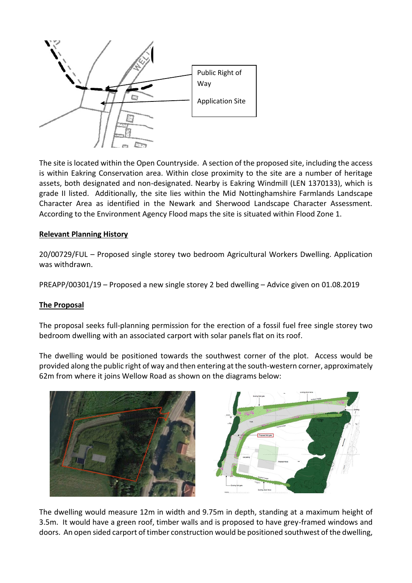

The site is located within the Open Countryside. A section of the proposed site, including the access is within Eakring Conservation area. Within close proximity to the site are a number of heritage assets, both designated and non-designated. Nearby is Eakring Windmill (LEN 1370133), which is grade II listed. Additionally, the site lies within the Mid Nottinghamshire Farmlands Landscape Character Area as identified in the Newark and Sherwood Landscape Character Assessment. According to the Environment Agency Flood maps the site is situated within Flood Zone 1.

### **Relevant Planning History**

20/00729/FUL – Proposed single storey two bedroom Agricultural Workers Dwelling. Application was withdrawn.

PREAPP/00301/19 – Proposed a new single storey 2 bed dwelling – Advice given on 01.08.2019

#### **The Proposal**

The proposal seeks full-planning permission for the erection of a fossil fuel free single storey two bedroom dwelling with an associated carport with solar panels flat on its roof.

The dwelling would be positioned towards the southwest corner of the plot. Access would be provided along the public right of way and then entering at the south-western corner, approximately 62m from where it joins Wellow Road as shown on the diagrams below:





The dwelling would measure 12m in width and 9.75m in depth, standing at a maximum height of 3.5m. It would have a green roof, timber walls and is proposed to have grey-framed windows and doors. An open sided carport of timber construction would be positioned southwest of the dwelling,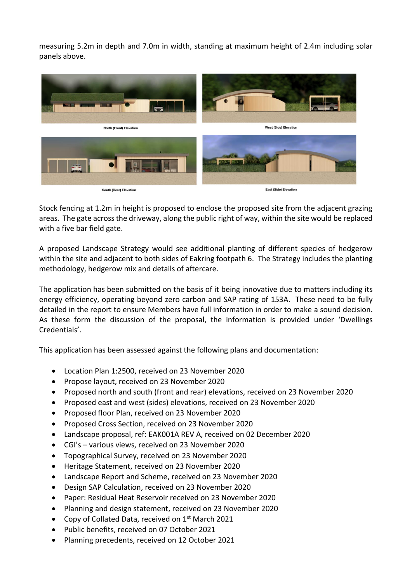measuring 5.2m in depth and 7.0m in width, standing at maximum height of 2.4m including solar panels above.



Stock fencing at 1.2m in height is proposed to enclose the proposed site from the adjacent grazing areas. The gate across the driveway, along the public right of way, within the site would be replaced with a five bar field gate.

A proposed Landscape Strategy would see additional planting of different species of hedgerow within the site and adjacent to both sides of Eakring footpath 6. The Strategy includes the planting methodology, hedgerow mix and details of aftercare.

The application has been submitted on the basis of it being innovative due to matters including its energy efficiency, operating beyond zero carbon and SAP rating of 153A. These need to be fully detailed in the report to ensure Members have full information in order to make a sound decision. As these form the discussion of the proposal, the information is provided under 'Dwellings Credentials'.

This application has been assessed against the following plans and documentation:

- Location Plan 1:2500, received on 23 November 2020
- Propose layout, received on 23 November 2020
- Proposed north and south (front and rear) elevations, received on 23 November 2020
- Proposed east and west (sides) elevations, received on 23 November 2020
- Proposed floor Plan, received on 23 November 2020
- Proposed Cross Section, received on 23 November 2020
- Landscape proposal, ref: EAK001A REV A, received on 02 December 2020
- CGI's various views, received on 23 November 2020
- Topographical Survey, received on 23 November 2020
- Heritage Statement, received on 23 November 2020
- Landscape Report and Scheme, received on 23 November 2020
- Design SAP Calculation, received on 23 November 2020
- Paper: Residual Heat Reservoir received on 23 November 2020
- Planning and design statement, received on 23 November 2020
- Copy of Collated Data, received on 1<sup>st</sup> March 2021
- Public benefits, received on 07 October 2021
- Planning precedents, received on 12 October 2021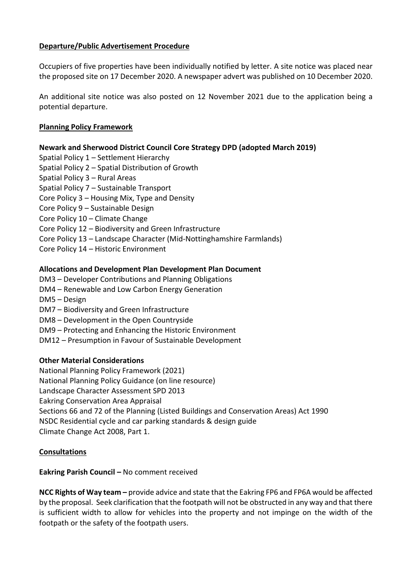### **Departure/Public Advertisement Procedure**

Occupiers of five properties have been individually notified by letter. A site notice was placed near the proposed site on 17 December 2020. A newspaper advert was published on 10 December 2020.

An additional site notice was also posted on 12 November 2021 due to the application being a potential departure.

### **Planning Policy Framework**

### **Newark and Sherwood District Council Core Strategy DPD (adopted March 2019)**

- Spatial Policy 1 Settlement Hierarchy
- Spatial Policy 2 Spatial Distribution of Growth
- Spatial Policy 3 Rural Areas
- Spatial Policy 7 Sustainable Transport
- Core Policy 3 Housing Mix, Type and Density
- Core Policy 9 Sustainable Design
- Core Policy 10 Climate Change
- Core Policy 12 Biodiversity and Green Infrastructure
- Core Policy 13 Landscape Character (Mid-Nottinghamshire Farmlands)
- Core Policy 14 Historic Environment

#### **Allocations and Development Plan Development Plan Document**

- DM3 Developer Contributions and Planning Obligations
- DM4 Renewable and Low Carbon Energy Generation
- DM5 Design
- DM7 Biodiversity and Green Infrastructure
- DM8 Development in the Open Countryside
- DM9 Protecting and Enhancing the Historic Environment
- DM12 Presumption in Favour of Sustainable Development

#### **Other Material Considerations**

- National Planning Policy Framework (2021)
- National Planning Policy Guidance (on line resource)
- Landscape Character Assessment SPD 2013
- Eakring Conservation Area Appraisal
- Sections 66 and 72 of the Planning (Listed Buildings and Conservation Areas) Act 1990
- NSDC Residential cycle and car parking standards & design guide
- Climate Change Act 2008, Part 1.

## **Consultations**

#### **Eakring Parish Council – No comment received**

**NCC Rights of Way team –** provide advice and state that the Eakring FP6 and FP6A would be affected by the proposal. Seek clarification that the footpath will not be obstructed in any way and that there is sufficient width to allow for vehicles into the property and not impinge on the width of the footpath or the safety of the footpath users.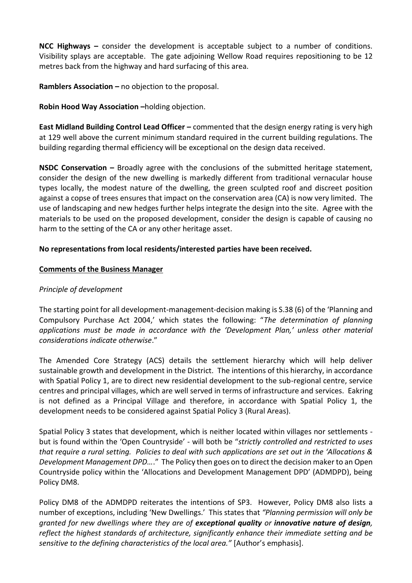**NCC Highways –** consider the development is acceptable subject to a number of conditions. Visibility splays are acceptable. The gate adjoining Wellow Road requires repositioning to be 12 metres back from the highway and hard surfacing of this area.

**Ramblers Association –** no objection to the proposal.

**Robin Hood Way Association –**holding objection.

**East Midland Building Control Lead Officer –** commented that the design energy rating is very high at 129 well above the current minimum standard required in the current building regulations. The building regarding thermal efficiency will be exceptional on the design data received.

**NSDC Conservation –** Broadly agree with the conclusions of the submitted heritage statement, consider the design of the new dwelling is markedly different from traditional vernacular house types locally, the modest nature of the dwelling, the green sculpted roof and discreet position against a copse of trees ensures that impact on the conservation area (CA) is now very limited. The use of landscaping and new hedges further helps integrate the design into the site. Agree with the materials to be used on the proposed development, consider the design is capable of causing no harm to the setting of the CA or any other heritage asset.

### **No representations from local residents/interested parties have been received.**

#### **Comments of the Business Manager**

#### *Principle of development*

The starting point for all development-management-decision making is S.38 (6) of the 'Planning and Compulsory Purchase Act 2004,' which states the following: "*The determination of planning applications must be made in accordance with the 'Development Plan,' unless other material considerations indicate otherwise*."

The Amended Core Strategy (ACS) details the settlement hierarchy which will help deliver sustainable growth and development in the District. The intentions of this hierarchy, in accordance with Spatial Policy 1, are to direct new residential development to the sub-regional centre, service centres and principal villages, which are well served in terms of infrastructure and services. Eakring is not defined as a Principal Village and therefore, in accordance with Spatial Policy 1, the development needs to be considered against Spatial Policy 3 (Rural Areas).

Spatial Policy 3 states that development, which is neither located within villages nor settlements but is found within the 'Open Countryside' - will both be "*strictly controlled and restricted to uses that require a rural setting. Policies to deal with such applications are set out in the 'Allocations & Development Management DPD…*." The Policy then goes on to direct the decision maker to an Open Countryside policy within the 'Allocations and Development Management DPD' (ADMDPD), being Policy DM8.

Policy DM8 of the ADMDPD reiterates the intentions of SP3. However, Policy DM8 also lists a number of exceptions, including 'New Dwellings.' This states that *"Planning permission will only be granted for new dwellings where they are of exceptional quality or innovative nature of design, reflect the highest standards of architecture, significantly enhance their immediate setting and be sensitive to the defining characteristics of the local area."* [Author's emphasis].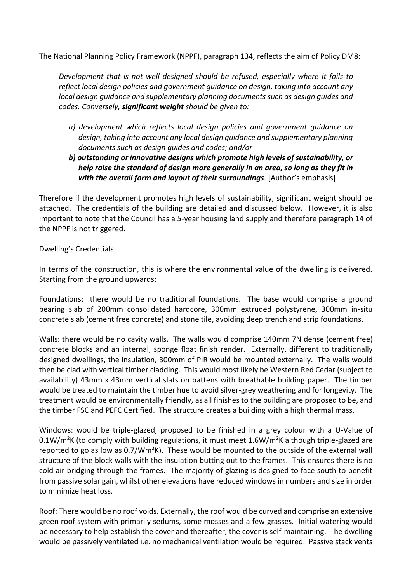The National Planning Policy Framework (NPPF), paragraph 134, reflects the aim of Policy DM8:

*Development that is not well designed should be refused, especially where it fails to reflect local design policies and government guidance on design, taking into account any local design guidance and supplementary planning documents such as design guides and codes. Conversely, significant weight should be given to:* 

- *a) development which reflects local design policies and government guidance on design, taking into account any local design guidance and supplementary planning documents such as design guides and codes; and/or*
- *b) outstanding or innovative designs which promote high levels of sustainability, or help raise the standard of design more generally in an area, so long as they fit in with the overall form and layout of their surroundings.* [Author's emphasis]

Therefore if the development promotes high levels of sustainability, significant weight should be attached. The credentials of the building are detailed and discussed below. However, it is also important to note that the Council has a 5-year housing land supply and therefore paragraph 14 of the NPPF is not triggered.

#### Dwelling's Credentials

In terms of the construction, this is where the environmental value of the dwelling is delivered. Starting from the ground upwards:

Foundations: there would be no traditional foundations. The base would comprise a ground bearing slab of 200mm consolidated hardcore, 300mm extruded polystyrene, 300mm in-situ concrete slab (cement free concrete) and stone tile, avoiding deep trench and strip foundations.

Walls: there would be no cavity walls. The walls would comprise 140mm 7N dense (cement free) concrete blocks and an internal, sponge float finish render. Externally, different to traditionally designed dwellings, the insulation, 300mm of PIR would be mounted externally. The walls would then be clad with vertical timber cladding. This would most likely be Western Red Cedar (subject to availability) 43mm x 43mm vertical slats on battens with breathable building paper. The timber would be treated to maintain the timber hue to avoid silver-grey weathering and for longevity. The treatment would be environmentally friendly, as all finishes to the building are proposed to be, and the timber FSC and PEFC Certified. The structure creates a building with a high thermal mass.

Windows: would be triple-glazed, proposed to be finished in a grey colour with a U-Value of 0.1W/ $m^2$ K (to comply with building regulations, it must meet 1.6W/ $m^2$ K although triple-glazed are reported to go as low as 0.7/Wm<sup>2</sup>K). These would be mounted to the outside of the external wall structure of the block walls with the insulation butting out to the frames. This ensures there is no cold air bridging through the frames. The majority of glazing is designed to face south to benefit from passive solar gain, whilst other elevations have reduced windows in numbers and size in order to minimize heat loss.

Roof: There would be no roof voids. Externally, the roof would be curved and comprise an extensive green roof system with primarily sedums, some mosses and a few grasses. Initial watering would be necessary to help establish the cover and thereafter, the cover is self-maintaining. The dwelling would be passively ventilated i.e. no mechanical ventilation would be required. Passive stack vents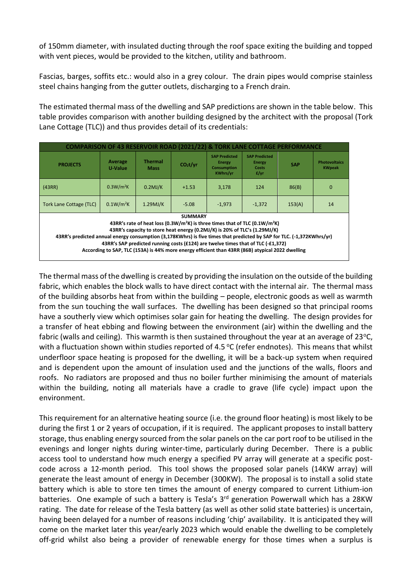of 150mm diameter, with insulated ducting through the roof space exiting the building and topped with vent pieces, would be provided to the kitchen, utility and bathroom.

Fascias, barges, soffits etc.: would also in a grey colour. The drain pipes would comprise stainless steel chains hanging from the gutter outlets, discharging to a French drain.

The estimated thermal mass of the dwelling and SAP predictions are shown in the table below. This table provides comparison with another building designed by the architect with the proposal (Tork Lane Cottage (TLC)) and thus provides detail of its credentials:

| <b>COMPARISON OF 43 RESERVOIR ROAD (2021/22) &amp; TORK LANE COTTAGE PERFORMANCE</b>                                                                                                                                                                                                                                                                                                                                                                                                                                |                       |                               |                      |                                                                         |                                                  |            |                                       |  |  |
|---------------------------------------------------------------------------------------------------------------------------------------------------------------------------------------------------------------------------------------------------------------------------------------------------------------------------------------------------------------------------------------------------------------------------------------------------------------------------------------------------------------------|-----------------------|-------------------------------|----------------------|-------------------------------------------------------------------------|--------------------------------------------------|------------|---------------------------------------|--|--|
| <b>PROJECTS</b>                                                                                                                                                                                                                                                                                                                                                                                                                                                                                                     | Average<br>U-Value    | <b>Thermal</b><br><b>Mass</b> | CO <sub>2</sub> t/vr | <b>SAP Predicted</b><br>Energy<br><b>Consumption</b><br><b>KWhrs/yr</b> | <b>SAP Predicted</b><br>Energy<br>Costs<br>f(yr) | <b>SAP</b> | <b>Photovoltaics</b><br><b>KWpeak</b> |  |  |
| (43RR)                                                                                                                                                                                                                                                                                                                                                                                                                                                                                                              | 0.3W/m <sup>2</sup> K | $0.2$ MJ/K                    | $+1.53$              | 3.178                                                                   | 124                                              | 86(B)      | $\mathbf 0$                           |  |  |
| <b>Tork Lane Cottage (TLC)</b>                                                                                                                                                                                                                                                                                                                                                                                                                                                                                      | 0.1W/m <sup>2</sup> K | $1.29$ MJ/K                   | $-5.08$              | $-1.973$                                                                | $-1.372$                                         | 153(A)     | 14                                    |  |  |
| <b>SUMMARY</b><br>43RR's rate of heat loss (0.3W/m <sup>2</sup> K) is three times that of TLC (0.1W/m <sup>2</sup> K)<br>43RR's capacity to store heat energy (0.2MJ/K) is 20% of TLC's (1.29MJ/K)<br>43RR's predicted annual energy consumption (3,178KWhrs) is five times that predicted by SAP for TLC. (-1,372KWhrs/yr)<br>43RR's SAP predicted running costs (£124) are twelve times that of TLC (-£1,372)<br>According to SAP, TLC (153A) is 44% more energy efficient than 43RR (86B) atypical 2022 dwelling |                       |                               |                      |                                                                         |                                                  |            |                                       |  |  |

The thermal mass of the dwelling is created by providing the insulation on the outside of the building fabric, which enables the block walls to have direct contact with the internal air. The thermal mass of the building absorbs heat from within the building – people, electronic goods as well as warmth from the sun touching the wall surfaces. The dwelling has been designed so that principal rooms have a southerly view which optimises solar gain for heating the dwelling. The design provides for a transfer of heat ebbing and flowing between the environment (air) within the dwelling and the fabric (walls and ceiling). This warmth is then sustained throughout the year at an average of 23 $^{\circ}$ C, with a fluctuation shown within studies reported of 4.5 °C (refer endnotes). This means that whilst underfloor space heating is proposed for the dwelling, it will be a back-up system when required and is dependent upon the amount of insulation used and the junctions of the walls, floors and roofs. No radiators are proposed and thus no boiler further minimising the amount of materials within the building, noting all materials have a cradle to grave (life cycle) impact upon the environment.

This requirement for an alternative heating source (i.e. the ground floor heating) is most likely to be during the first 1 or 2 years of occupation, if it is required. The applicant proposes to install battery storage, thus enabling energy sourced from the solar panels on the car port roof to be utilised in the evenings and longer nights during winter-time, particularly during December. There is a public access tool to understand how much energy a specified PV array will generate at a specific postcode across a 12-month period. This tool shows the proposed solar panels (14KW array) will generate the least amount of energy in December (300KW). The proposal is to install a solid state battery which is able to store ten times the amount of energy compared to current Lithium-ion batteries. One example of such a battery is Tesla's 3<sup>rd</sup> generation Powerwall which has a 28KW rating. The date for release of the Tesla battery (as well as other solid state batteries) is uncertain, having been delayed for a number of reasons including 'chip' availability. It is anticipated they will come on the market later this year/early 2023 which would enable the dwelling to be completely off-grid whilst also being a provider of renewable energy for those times when a surplus is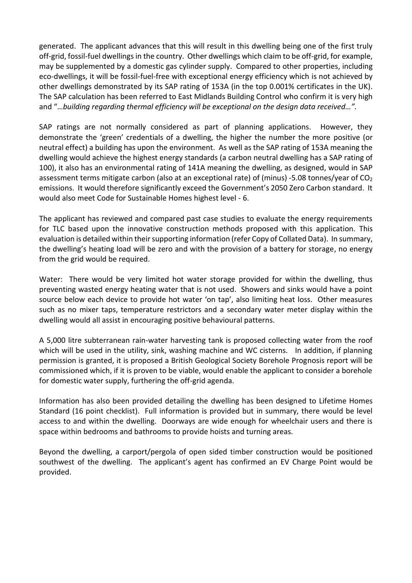generated. The applicant advances that this will result in this dwelling being one of the first truly off-grid, fossil-fuel dwellings in the country. Other dwellings which claim to be off-grid, for example, may be supplemented by a domestic gas cylinder supply. Compared to other properties, including eco-dwellings, it will be fossil-fuel-free with exceptional energy efficiency which is not achieved by other dwellings demonstrated by its SAP rating of 153A (in the top 0.001% certificates in the UK). The SAP calculation has been referred to East Midlands Building Control who confirm it is very high and "…*building regarding thermal efficiency will be exceptional on the design data received…".*

SAP ratings are not normally considered as part of planning applications. However, they demonstrate the 'green' credentials of a dwelling, the higher the number the more positive (or neutral effect) a building has upon the environment. As well as the SAP rating of 153A meaning the dwelling would achieve the highest energy standards (a carbon neutral dwelling has a SAP rating of 100), it also has an environmental rating of 141A meaning the dwelling, as designed, would in SAP assessment terms mitigate carbon (also at an exceptional rate) of (minus) -5.08 tonnes/year of CO<sub>2</sub> emissions. It would therefore significantly exceed the Government's 2050 Zero Carbon standard. It would also meet Code for Sustainable Homes highest level - 6.

The applicant has reviewed and compared past case studies to evaluate the energy requirements for TLC based upon the innovative construction methods proposed with this application. This evaluation is detailed within their supporting information (refer Copy of Collated Data). In summary, the dwelling's heating load will be zero and with the provision of a battery for storage, no energy from the grid would be required.

Water: There would be very limited hot water storage provided for within the dwelling, thus preventing wasted energy heating water that is not used. Showers and sinks would have a point source below each device to provide hot water 'on tap', also limiting heat loss. Other measures such as no mixer taps, temperature restrictors and a secondary water meter display within the dwelling would all assist in encouraging positive behavioural patterns.

A 5,000 litre subterranean rain-water harvesting tank is proposed collecting water from the roof which will be used in the utility, sink, washing machine and WC cisterns. In addition, if planning permission is granted, it is proposed a British Geological Society Borehole Prognosis report will be commissioned which, if it is proven to be viable, would enable the applicant to consider a borehole for domestic water supply, furthering the off-grid agenda.

Information has also been provided detailing the dwelling has been designed to Lifetime Homes Standard (16 point checklist). Full information is provided but in summary, there would be level access to and within the dwelling. Doorways are wide enough for wheelchair users and there is space within bedrooms and bathrooms to provide hoists and turning areas.

Beyond the dwelling, a carport/pergola of open sided timber construction would be positioned southwest of the dwelling. The applicant's agent has confirmed an EV Charge Point would be provided.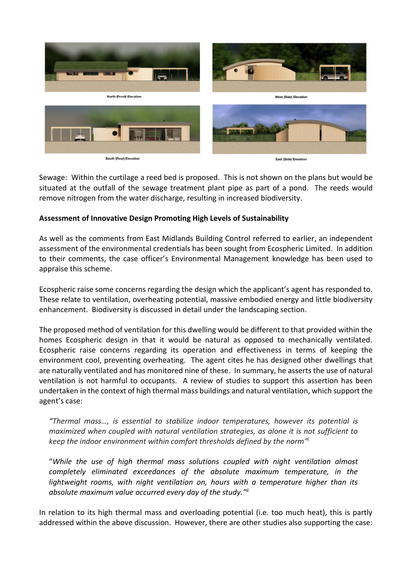

Sewage: Within the curtilage a reed bed is proposed. This is not shown on the plans but would be situated at the outfall of the sewage treatment plant pipe as part of a pond. The reeds would remove nitrogen from the water discharge, resulting in increased biodiversity.

### **Assessment of Innovative Design Promoting High Levels of Sustainability**

As well as the comments from East Midlands Building Control referred to earlier, an independent assessment of the environmental credentials has been sought from Ecospheric Limited. In addition to their comments, the case officer's Environmental Management knowledge has been used to appraise this scheme.

Ecospheric raise some concerns regarding the design which the applicant's agent has responded to. These relate to ventilation, overheating potential, massive embodied energy and little biodiversity enhancement. Biodiversity is discussed in detail under the landscaping section.

The proposed method of ventilation for this dwelling would be different to that provided within the homes Ecospheric design in that it would be natural as opposed to mechanically ventilated. Ecospheric raise concerns regarding its operation and effectiveness in terms of keeping the environment cool, preventing overheating. The agent cites he has designed other dwellings that are naturally ventilated and has monitored nine of these. In summary, he asserts the use of natural ventilation is not harmful to occupants. A review of studies to support this assertion has been undertaken in the context of high thermal mass buildings and natural ventilation, which support the agent's case:

*"Thermal mass…, is essential to stabilize indoor temperatures, however its potential is maximized when coupled with natural ventilation strategies, as alone it is not sufficient to keep the indoor environment within comfort thresholds defined by the norm" i*

"*While the use of high thermal mass solutions coupled with night ventilation almost completely eliminated exceedances of the absolute maximum temperature, in the lightweight rooms, with night ventilation on, hours with a temperature higher than its absolute maximum value occurred every day of the study."ii*

In relation to its high thermal mass and overloading potential (i.e. too much heat), this is partly addressed within the above discussion. However, there are other studies also supporting the case: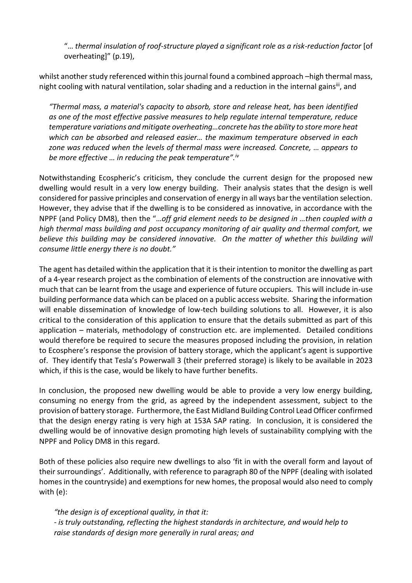"… *thermal insulation of roof-structure played a significant role as a risk-reduction factor* [of overheating]" (p.19),

whilst another study referenced within this journal found a combined approach –high thermal mass, night cooling with natural ventilation, solar shading and a reduction in the internal gains<sup>iii</sup>, and

*"Thermal mass, a material's capacity to absorb, store and release heat, has been identified as one of the most effective passive measures to help regulate internal temperature, reduce temperature variations and mitigate overheating…concrete has the ability to store more heat which can be absorbed and released easier… the maximum temperature observed in each zone was reduced when the levels of thermal mass were increased. Concrete, … appears to be more effective … in reducing the peak temperature".iv*

Notwithstanding Ecospheric's criticism, they conclude the current design for the proposed new dwelling would result in a very low energy building. Their analysis states that the design is well considered for passive principles and conservation of energy in all ways bar the ventilation selection. However, they advise that if the dwelling is to be considered as innovative, in accordance with the NPPF (and Policy DM8), then the "…*off grid element needs to be designed in …then coupled with a high thermal mass building and post occupancy monitoring of air quality and thermal comfort, we*  believe this building may be considered innovative. On the matter of whether this building will *consume little energy there is no doubt."* 

The agent has detailed within the application that it is their intention to monitor the dwelling as part of a 4-year research project as the combination of elements of the construction are innovative with much that can be learnt from the usage and experience of future occupiers. This will include in-use building performance data which can be placed on a public access website. Sharing the information will enable dissemination of knowledge of low-tech building solutions to all. However, it is also critical to the consideration of this application to ensure that the details submitted as part of this application – materials, methodology of construction etc. are implemented. Detailed conditions would therefore be required to secure the measures proposed including the provision, in relation to Ecosphere's response the provision of battery storage, which the applicant's agent is supportive of. They identify that Tesla's Powerwall 3 (their preferred storage) is likely to be available in 2023 which, if this is the case, would be likely to have further benefits.

In conclusion, the proposed new dwelling would be able to provide a very low energy building, consuming no energy from the grid, as agreed by the independent assessment, subject to the provision of battery storage. Furthermore, the East Midland Building Control Lead Officer confirmed that the design energy rating is very high at 153A SAP rating. In conclusion, it is considered the dwelling would be of innovative design promoting high levels of sustainability complying with the NPPF and Policy DM8 in this regard.

Both of these policies also require new dwellings to also 'fit in with the overall form and layout of their surroundings'. Additionally, with reference to paragraph 80 of the NPPF (dealing with isolated homes in the countryside) and exemptions for new homes, the proposal would also need to comply with (e):

*"the design is of exceptional quality, in that it: - is truly outstanding, reflecting the highest standards in architecture, and would help to raise standards of design more generally in rural areas; and*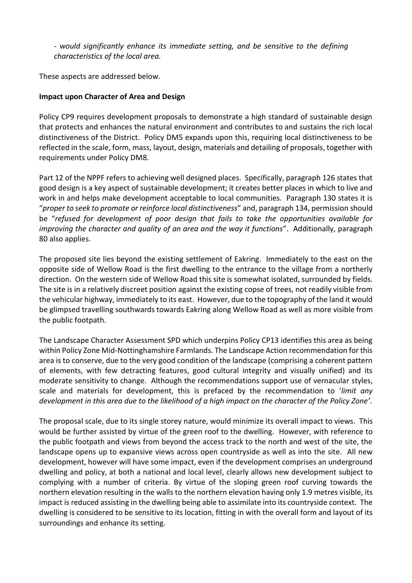*- would significantly enhance its immediate setting, and be sensitive to the defining characteristics of the local area.*

These aspects are addressed below.

### **Impact upon Character of Area and Design**

Policy CP9 requires development proposals to demonstrate a high standard of sustainable design that protects and enhances the natural environment and contributes to and sustains the rich local distinctiveness of the District. Policy DM5 expands upon this, requiring local distinctiveness to be reflected in the scale, form, mass, layout, design, materials and detailing of proposals, together with requirements under Policy DM8.

Part 12 of the NPPF refers to achieving well designed places. Specifically, paragraph 126 states that good design is a key aspect of sustainable development; it creates better places in which to live and work in and helps make development acceptable to local communities. Paragraph 130 states it is "*proper to seek to promote or reinforce local distinctiveness*" and, paragraph 134, permission should be "*refused for development of poor design that fails to take the opportunities available for improving the character and quality of an area and the way it functions*". Additionally, paragraph 80 also applies.

The proposed site lies beyond the existing settlement of Eakring. Immediately to the east on the opposite side of Wellow Road is the first dwelling to the entrance to the village from a northerly direction. On the western side of Wellow Road this site is somewhat isolated, surrounded by fields. The site is in a relatively discreet position against the existing copse of trees, not readily visible from the vehicular highway, immediately to its east. However, due to the topography of the land it would be glimpsed travelling southwards towards Eakring along Wellow Road as well as more visible from the public footpath.

The Landscape Character Assessment SPD which underpins Policy CP13 identifies this area as being within Policy Zone Mid-Nottinghamshire Farmlands. The Landscape Action recommendation for this area is to conserve, due to the very good condition of the landscape (comprising a coherent pattern of elements, with few detracting features, good cultural integrity and visually unified) and its moderate sensitivity to change. Although the recommendations support use of vernacular styles, scale and materials for development, this is prefaced by the recommendation to '*limit any development in this area due to the likelihood of a high impact on the character of the Policy Zone'*.

The proposal scale, due to its single storey nature, would minimize its overall impact to views. This would be further assisted by virtue of the green roof to the dwelling. However, with reference to the public footpath and views from beyond the access track to the north and west of the site, the landscape opens up to expansive views across open countryside as well as into the site. All new development, however will have some impact, even if the development comprises an underground dwelling and policy, at both a national and local level, clearly allows new development subject to complying with a number of criteria. By virtue of the sloping green roof curving towards the northern elevation resulting in the walls to the northern elevation having only 1.9 metres visible, its impact is reduced assisting in the dwelling being able to assimilate into its countryside context. The dwelling is considered to be sensitive to its location, fitting in with the overall form and layout of its surroundings and enhance its setting.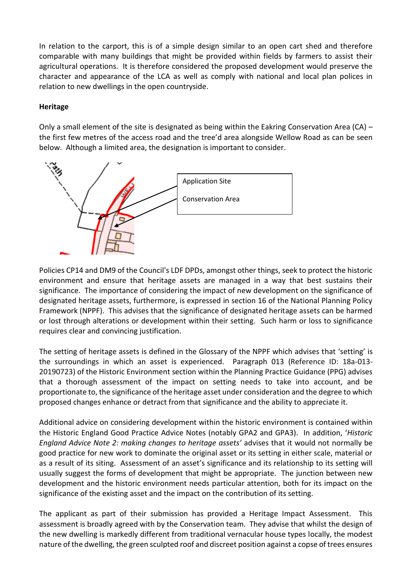In relation to the carport, this is of a simple design similar to an open cart shed and therefore comparable with many buildings that might be provided within fields by farmers to assist their agricultural operations. It is therefore considered the proposed development would preserve the character and appearance of the LCA as well as comply with national and local plan polices in relation to new dwellings in the open countryside.

## **Heritage**

Only a small element of the site is designated as being within the Eakring Conservation Area (CA) – the first few metres of the access road and the tree'd area alongside Wellow Road as can be seen below. Although a limited area, the designation is important to consider.



Policies CP14 and DM9 of the Council's LDF DPDs, amongst other things, seek to protect the historic environment and ensure that heritage assets are managed in a way that best sustains their significance. The importance of considering the impact of new development on the significance of designated heritage assets, furthermore, is expressed in section 16 of the National Planning Policy Framework (NPPF). This advises that the significance of designated heritage assets can be harmed or lost through alterations or development within their setting. Such harm or loss to significance requires clear and convincing justification.

The setting of heritage assets is defined in the Glossary of the NPPF which advises that 'setting' is the surroundings in which an asset is experienced. Paragraph 013 (Reference ID: 18a-013- 20190723) of the Historic Environment section within the Planning Practice Guidance (PPG) advises that a thorough assessment of the impact on setting needs to take into account, and be proportionate to, the significance of the heritage asset under consideration and the degree to which proposed changes enhance or detract from that significance and the ability to appreciate it.

Additional advice on considering development within the historic environment is contained within the Historic England Good Practice Advice Notes (notably GPA2 and GPA3). In addition, '*Historic England Advice Note 2: making changes to heritage assets'* advises that it would not normally be good practice for new work to dominate the original asset or its setting in either scale, material or as a result of its siting. Assessment of an asset's significance and its relationship to its setting will usually suggest the forms of development that might be appropriate. The junction between new development and the historic environment needs particular attention, both for its impact on the significance of the existing asset and the impact on the contribution of its setting.

The applicant as part of their submission has provided a Heritage Impact Assessment. This assessment is broadly agreed with by the Conservation team. They advise that whilst the design of the new dwelling is markedly different from traditional vernacular house types locally, the modest nature of the dwelling, the green sculpted roof and discreet position against a copse of trees ensures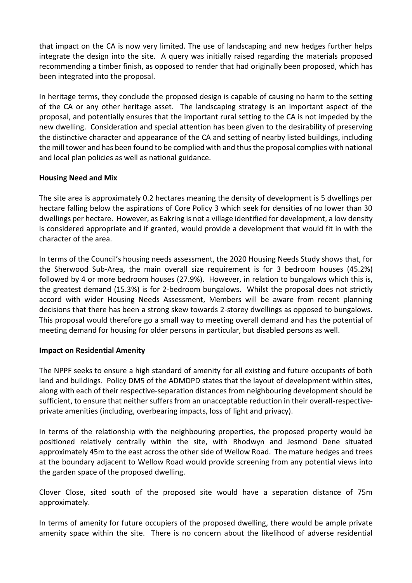that impact on the CA is now very limited. The use of landscaping and new hedges further helps integrate the design into the site. A query was initially raised regarding the materials proposed recommending a timber finish, as opposed to render that had originally been proposed, which has been integrated into the proposal.

In heritage terms, they conclude the proposed design is capable of causing no harm to the setting of the CA or any other heritage asset. The landscaping strategy is an important aspect of the proposal, and potentially ensures that the important rural setting to the CA is not impeded by the new dwelling. Consideration and special attention has been given to the desirability of preserving the distinctive character and appearance of the CA and setting of nearby listed buildings, including the mill tower and has been found to be complied with and thus the proposal complies with national and local plan policies as well as national guidance.

### **Housing Need and Mix**

The site area is approximately 0.2 hectares meaning the density of development is 5 dwellings per hectare falling below the aspirations of Core Policy 3 which seek for densities of no lower than 30 dwellings per hectare. However, as Eakring is not a village identified for development, a low density is considered appropriate and if granted, would provide a development that would fit in with the character of the area.

In terms of the Council's housing needs assessment, the 2020 Housing Needs Study shows that, for the Sherwood Sub-Area, the main overall size requirement is for 3 bedroom houses (45.2%) followed by 4 or more bedroom houses (27.9%). However, in relation to bungalows which this is, the greatest demand (15.3%) is for 2-bedroom bungalows. Whilst the proposal does not strictly accord with wider Housing Needs Assessment, Members will be aware from recent planning decisions that there has been a strong skew towards 2-storey dwellings as opposed to bungalows. This proposal would therefore go a small way to meeting overall demand and has the potential of meeting demand for housing for older persons in particular, but disabled persons as well.

#### **Impact on Residential Amenity**

The NPPF seeks to ensure a high standard of amenity for all existing and future occupants of both land and buildings. Policy DM5 of the ADMDPD states that the layout of development within sites, along with each of their respective-separation distances from neighbouring development should be sufficient, to ensure that neither suffers from an unacceptable reduction in their overall-respectiveprivate amenities (including, overbearing impacts, loss of light and privacy).

In terms of the relationship with the neighbouring properties, the proposed property would be positioned relatively centrally within the site, with Rhodwyn and Jesmond Dene situated approximately 45m to the east across the other side of Wellow Road. The mature hedges and trees at the boundary adjacent to Wellow Road would provide screening from any potential views into the garden space of the proposed dwelling.

Clover Close, sited south of the proposed site would have a separation distance of 75m approximately.

In terms of amenity for future occupiers of the proposed dwelling, there would be ample private amenity space within the site. There is no concern about the likelihood of adverse residential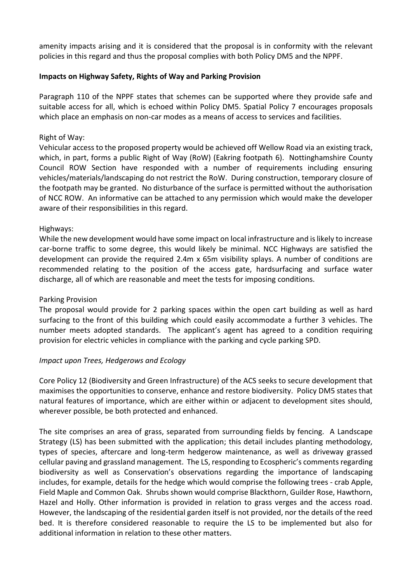amenity impacts arising and it is considered that the proposal is in conformity with the relevant policies in this regard and thus the proposal complies with both Policy DM5 and the NPPF.

### **Impacts on Highway Safety, Rights of Way and Parking Provision**

Paragraph 110 of the NPPF states that schemes can be supported where they provide safe and suitable access for all, which is echoed within Policy DM5. Spatial Policy 7 encourages proposals which place an emphasis on non-car modes as a means of access to services and facilities.

### Right of Way:

Vehicular access to the proposed property would be achieved off Wellow Road via an existing track, which, in part, forms a public Right of Way (RoW) (Eakring footpath 6). Nottinghamshire County Council ROW Section have responded with a number of requirements including ensuring vehicles/materials/landscaping do not restrict the RoW. During construction, temporary closure of the footpath may be granted. No disturbance of the surface is permitted without the authorisation of NCC ROW. An informative can be attached to any permission which would make the developer aware of their responsibilities in this regard.

### Highways:

While the new development would have some impact on local infrastructure and is likely to increase car-borne traffic to some degree, this would likely be minimal. NCC Highways are satisfied the development can provide the required 2.4m x 65m visibility splays. A number of conditions are recommended relating to the position of the access gate, hardsurfacing and surface water discharge, all of which are reasonable and meet the tests for imposing conditions.

#### Parking Provision

The proposal would provide for 2 parking spaces within the open cart building as well as hard surfacing to the front of this building which could easily accommodate a further 3 vehicles. The number meets adopted standards. The applicant's agent has agreed to a condition requiring provision for electric vehicles in compliance with the parking and cycle parking SPD.

## *Impact upon Trees, Hedgerows and Ecology*

Core Policy 12 (Biodiversity and Green Infrastructure) of the ACS seeks to secure development that maximises the opportunities to conserve, enhance and restore biodiversity. Policy DM5 states that natural features of importance, which are either within or adjacent to development sites should, wherever possible, be both protected and enhanced.

The site comprises an area of grass, separated from surrounding fields by fencing. A Landscape Strategy (LS) has been submitted with the application; this detail includes planting methodology, types of species, aftercare and long-term hedgerow maintenance, as well as driveway grassed cellular paving and grassland management. The LS, responding to Ecospheric's comments regarding biodiversity as well as Conservation's observations regarding the importance of landscaping includes, for example, details for the hedge which would comprise the following trees - crab Apple, Field Maple and Common Oak. Shrubs shown would comprise Blackthorn, Guilder Rose, Hawthorn, Hazel and Holly. Other information is provided in relation to grass verges and the access road. However, the landscaping of the residential garden itself is not provided, nor the details of the reed bed. It is therefore considered reasonable to require the LS to be implemented but also for additional information in relation to these other matters.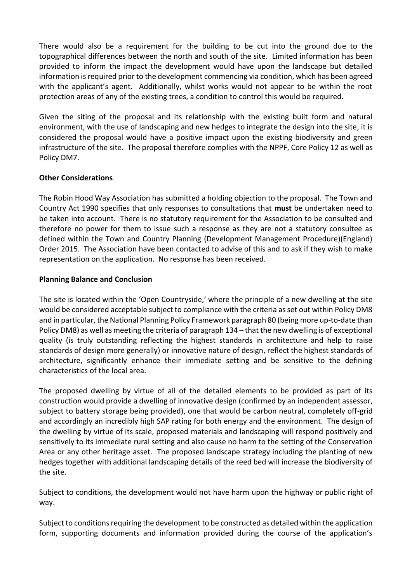There would also be a requirement for the building to be cut into the ground due to the topographical differences between the north and south of the site. Limited information has been provided to inform the impact the development would have upon the landscape but detailed information is required prior to the development commencing via condition, which has been agreed with the applicant's agent. Additionally, whilst works would not appear to be within the root protection areas of any of the existing trees, a condition to control this would be required.

Given the siting of the proposal and its relationship with the existing built form and natural environment, with the use of landscaping and new hedges to integrate the design into the site, it is considered the proposal would have a positive impact upon the existing biodiversity and green infrastructure of the site. The proposal therefore complies with the NPPF, Core Policy 12 as well as Policy DM7.

### **Other Considerations**

The Robin Hood Way Association has submitted a holding objection to the proposal. The Town and Country Act 1990 specifies that only responses to consultations that **must** be undertaken need to be taken into account. There is no statutory requirement for the Association to be consulted and therefore no power for them to issue such a response as they are not a statutory consultee as defined within the Town and Country Planning (Development Management Procedure)(England) Order 2015. The Association have been contacted to advise of this and to ask if they wish to make representation on the application. No response has been received.

### **Planning Balance and Conclusion**

The site is located within the 'Open Countryside,' where the principle of a new dwelling at the site would be considered acceptable subject to compliance with the criteria as set out within Policy DM8 and in particular, the National Planning Policy Framework paragraph 80 (being more up-to-date than Policy DM8) as well as meeting the criteria of paragraph 134 – that the new dwelling is of exceptional quality (is truly outstanding reflecting the highest standards in architecture and help to raise standards of design more generally) or innovative nature of design, reflect the highest standards of architecture, significantly enhance their immediate setting and be sensitive to the defining characteristics of the local area.

The proposed dwelling by virtue of all of the detailed elements to be provided as part of its construction would provide a dwelling of innovative design (confirmed by an independent assessor, subject to battery storage being provided), one that would be carbon neutral, completely off-grid and accordingly an incredibly high SAP rating for both energy and the environment. The design of the dwelling by virtue of its scale, proposed materials and landscaping will respond positively and sensitively to its immediate rural setting and also cause no harm to the setting of the Conservation Area or any other heritage asset. The proposed landscape strategy including the planting of new hedges together with additional landscaping details of the reed bed will increase the biodiversity of the site.

Subject to conditions, the development would not have harm upon the highway or public right of way.

Subject to conditions requiring the development to be constructed as detailed within the application form, supporting documents and information provided during the course of the application's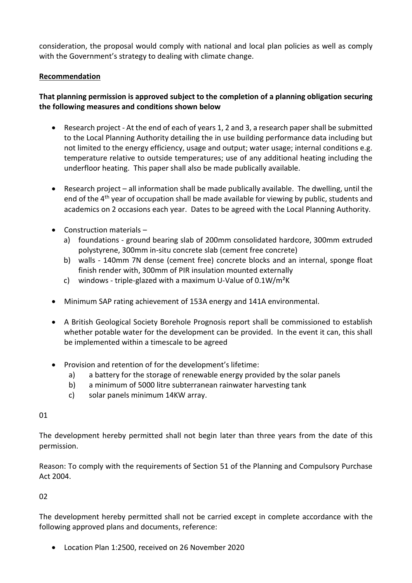consideration, the proposal would comply with national and local plan policies as well as comply with the Government's strategy to dealing with climate change.

## **Recommendation**

# **That planning permission is approved subject to the completion of a planning obligation securing the following measures and conditions shown below**

- Research project At the end of each of years 1, 2 and 3, a research paper shall be submitted to the Local Planning Authority detailing the in use building performance data including but not limited to the energy efficiency, usage and output; water usage; internal conditions e.g. temperature relative to outside temperatures; use of any additional heating including the underfloor heating. This paper shall also be made publically available.
- Research project all information shall be made publically available. The dwelling, until the end of the  $4<sup>th</sup>$  year of occupation shall be made available for viewing by public, students and academics on 2 occasions each year. Dates to be agreed with the Local Planning Authority.
- $\bullet$  Construction materials
	- a) foundations ground bearing slab of 200mm consolidated hardcore, 300mm extruded polystyrene, 300mm in-situ concrete slab (cement free concrete)
	- b) walls 140mm 7N dense (cement free) concrete blocks and an internal, sponge float finish render with, 300mm of PIR insulation mounted externally
	- c) windows triple-glazed with a maximum U-Value of  $0.1 W/m^2K$
- Minimum SAP rating achievement of 153A energy and 141A environmental.
- A British Geological Society Borehole Prognosis report shall be commissioned to establish whether potable water for the development can be provided. In the event it can, this shall be implemented within a timescale to be agreed
- Provision and retention of for the development's lifetime:
	- a) a battery for the storage of renewable energy provided by the solar panels
	- b) a minimum of 5000 litre subterranean rainwater harvesting tank
	- c) solar panels minimum 14KW array.

#### 01

The development hereby permitted shall not begin later than three years from the date of this permission.

Reason: To comply with the requirements of Section 51 of the Planning and Compulsory Purchase Act 2004.

## 02

The development hereby permitted shall not be carried except in complete accordance with the following approved plans and documents, reference:

Location Plan 1:2500, received on 26 November 2020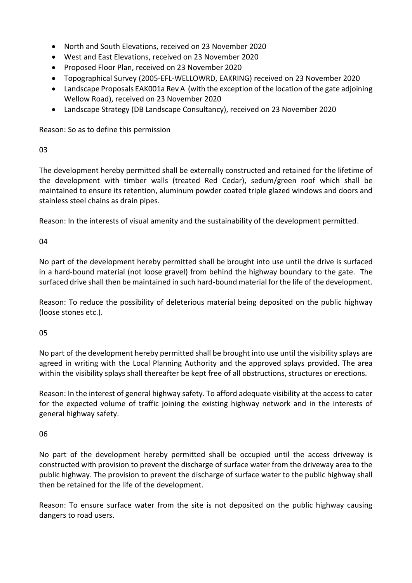- North and South Elevations, received on 23 November 2020
- West and East Elevations, received on 23 November 2020
- Proposed Floor Plan, received on 23 November 2020
- Topographical Survey (2005-EFL-WELLOWRD, EAKRING) received on 23 November 2020
- Landscape Proposals EAK001a Rev A (with the exception of the location of the gate adjoining Wellow Road), received on 23 November 2020
- Landscape Strategy (DB Landscape Consultancy), received on 23 November 2020

Reason: So as to define this permission

03

The development hereby permitted shall be externally constructed and retained for the lifetime of the development with timber walls (treated Red Cedar), sedum/green roof which shall be maintained to ensure its retention, aluminum powder coated triple glazed windows and doors and stainless steel chains as drain pipes.

Reason: In the interests of visual amenity and the sustainability of the development permitted.

04

No part of the development hereby permitted shall be brought into use until the drive is surfaced in a hard-bound material (not loose gravel) from behind the highway boundary to the gate. The surfaced drive shall then be maintained in such hard-bound material for the life of the development.

Reason: To reduce the possibility of deleterious material being deposited on the public highway (loose stones etc.).

05

No part of the development hereby permitted shall be brought into use until the visibility splays are agreed in writing with the Local Planning Authority and the approved splays provided. The area within the visibility splays shall thereafter be kept free of all obstructions, structures or erections.

Reason: In the interest of general highway safety. To afford adequate visibility at the access to cater for the expected volume of traffic joining the existing highway network and in the interests of general highway safety.

## 06

No part of the development hereby permitted shall be occupied until the access driveway is constructed with provision to prevent the discharge of surface water from the driveway area to the public highway. The provision to prevent the discharge of surface water to the public highway shall then be retained for the life of the development.

Reason: To ensure surface water from the site is not deposited on the public highway causing dangers to road users.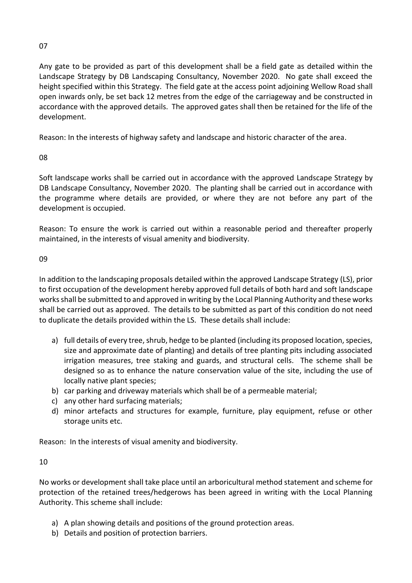## 07

Any gate to be provided as part of this development shall be a field gate as detailed within the Landscape Strategy by DB Landscaping Consultancy, November 2020. No gate shall exceed the height specified within this Strategy. The field gate at the access point adjoining Wellow Road shall open inwards only, be set back 12 metres from the edge of the carriageway and be constructed in accordance with the approved details. The approved gates shall then be retained for the life of the development.

Reason: In the interests of highway safety and landscape and historic character of the area.

08

Soft landscape works shall be carried out in accordance with the approved Landscape Strategy by DB Landscape Consultancy, November 2020. The planting shall be carried out in accordance with the programme where details are provided, or where they are not before any part of the development is occupied.

Reason: To ensure the work is carried out within a reasonable period and thereafter properly maintained, in the interests of visual amenity and biodiversity.

## 09

In addition to the landscaping proposals detailed within the approved Landscape Strategy (LS), prior to first occupation of the development hereby approved full details of both hard and soft landscape works shall be submitted to and approved in writing by the Local Planning Authority and these works shall be carried out as approved. The details to be submitted as part of this condition do not need to duplicate the details provided within the LS. These details shall include:

- a) full details of every tree, shrub, hedge to be planted (including its proposed location, species, size and approximate date of planting) and details of tree planting pits including associated irrigation measures, tree staking and guards, and structural cells. The scheme shall be designed so as to enhance the nature conservation value of the site, including the use of locally native plant species;
- b) car parking and driveway materials which shall be of a permeable material;
- c) any other hard surfacing materials;
- d) minor artefacts and structures for example, furniture, play equipment, refuse or other storage units etc.

Reason: In the interests of visual amenity and biodiversity.

## 10

No works or development shall take place until an arboricultural method statement and scheme for protection of the retained trees/hedgerows has been agreed in writing with the Local Planning Authority. This scheme shall include:

- a) A plan showing details and positions of the ground protection areas.
- b) Details and position of protection barriers.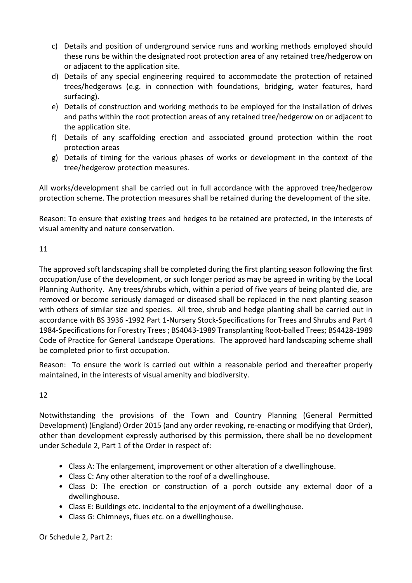- c) Details and position of underground service runs and working methods employed should these runs be within the designated root protection area of any retained tree/hedgerow on or adjacent to the application site.
- d) Details of any special engineering required to accommodate the protection of retained trees/hedgerows (e.g. in connection with foundations, bridging, water features, hard surfacing).
- e) Details of construction and working methods to be employed for the installation of drives and paths within the root protection areas of any retained tree/hedgerow on or adjacent to the application site.
- f) Details of any scaffolding erection and associated ground protection within the root protection areas
- g) Details of timing for the various phases of works or development in the context of the tree/hedgerow protection measures.

All works/development shall be carried out in full accordance with the approved tree/hedgerow protection scheme. The protection measures shall be retained during the development of the site.

Reason: To ensure that existing trees and hedges to be retained are protected, in the interests of visual amenity and nature conservation.

# 11

The approved soft landscaping shall be completed during the first planting season following the first occupation/use of the development, or such longer period as may be agreed in writing by the Local Planning Authority. Any trees/shrubs which, within a period of five years of being planted die, are removed or become seriously damaged or diseased shall be replaced in the next planting season with others of similar size and species. All tree, shrub and hedge planting shall be carried out in accordance with BS 3936 -1992 Part 1-Nursery Stock-Specifications for Trees and Shrubs and Part 4 1984-Specifications for Forestry Trees ; BS4043-1989 Transplanting Root-balled Trees; BS4428-1989 Code of Practice for General Landscape Operations. The approved hard landscaping scheme shall be completed prior to first occupation.

Reason: To ensure the work is carried out within a reasonable period and thereafter properly maintained, in the interests of visual amenity and biodiversity.

# 12

Notwithstanding the provisions of the Town and Country Planning (General Permitted Development) (England) Order 2015 (and any order revoking, re-enacting or modifying that Order), other than development expressly authorised by this permission, there shall be no development under Schedule 2, Part 1 of the Order in respect of:

- Class A: The enlargement, improvement or other alteration of a dwellinghouse.
- Class C: Any other alteration to the roof of a dwellinghouse.
- Class D: The erection or construction of a porch outside any external door of a dwellinghouse.
- Class E: Buildings etc. incidental to the enjoyment of a dwellinghouse.
- Class G: Chimneys, flues etc. on a dwellinghouse.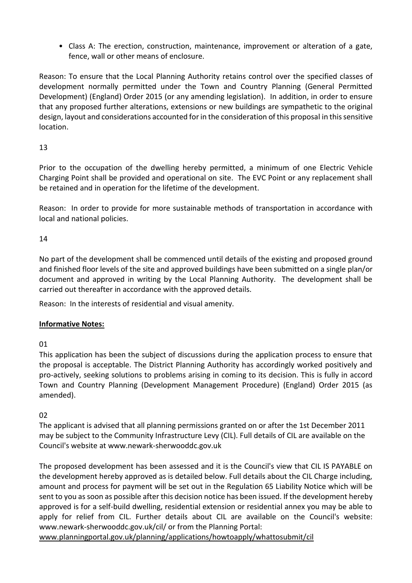• Class A: The erection, construction, maintenance, improvement or alteration of a gate, fence, wall or other means of enclosure.

Reason: To ensure that the Local Planning Authority retains control over the specified classes of development normally permitted under the Town and Country Planning (General Permitted Development) (England) Order 2015 (or any amending legislation). In addition, in order to ensure that any proposed further alterations, extensions or new buildings are sympathetic to the original design, layout and considerations accounted for in the consideration of this proposal in this sensitive location.

13

Prior to the occupation of the dwelling hereby permitted, a minimum of one Electric Vehicle Charging Point shall be provided and operational on site. The EVC Point or any replacement shall be retained and in operation for the lifetime of the development.

Reason: In order to provide for more sustainable methods of transportation in accordance with local and national policies.

14

No part of the development shall be commenced until details of the existing and proposed ground and finished floor levels of the site and approved buildings have been submitted on a single plan/or document and approved in writing by the Local Planning Authority. The development shall be carried out thereafter in accordance with the approved details.

Reason: In the interests of residential and visual amenity.

## **Informative Notes:**

01

This application has been the subject of discussions during the application process to ensure that the proposal is acceptable. The District Planning Authority has accordingly worked positively and pro-actively, seeking solutions to problems arising in coming to its decision. This is fully in accord Town and Country Planning (Development Management Procedure) (England) Order 2015 (as amended).

02

The applicant is advised that all planning permissions granted on or after the 1st December 2011 may be subject to the Community Infrastructure Levy (CIL). Full details of CIL are available on the Council's website at www.newark-sherwooddc.gov.uk

The proposed development has been assessed and it is the Council's view that CIL IS PAYABLE on the development hereby approved as is detailed below. Full details about the CIL Charge including, amount and process for payment will be set out in the Regulation 65 Liability Notice which will be sent to you as soon as possible after this decision notice has been issued. If the development hereby approved is for a self-build dwelling, residential extension or residential annex you may be able to apply for relief from CIL. Further details about CIL are available on the Council's website: www.newark-sherwooddc.gov.uk/cil/ or from the Planning Portal:

[www.planningportal.gov.uk/planning/applications/howtoapply/whattosubmit/cil](http://www.planningportal.gov.uk/planning/applications/howtoapply/whattosubmit/cil)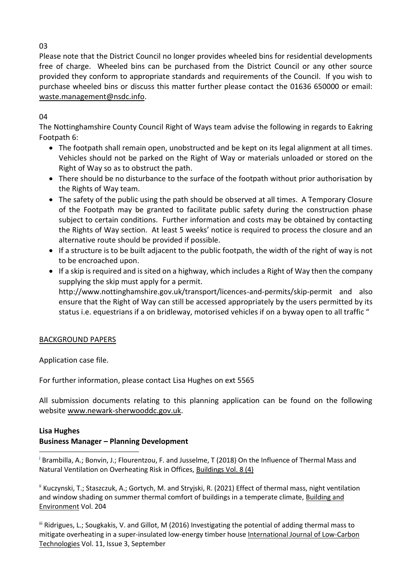Please note that the District Council no longer provides wheeled bins for residential developments free of charge. Wheeled bins can be purchased from the District Council or any other source provided they conform to appropriate standards and requirements of the Council. If you wish to purchase wheeled bins or discuss this matter further please contact the 01636 650000 or email: [waste.management@nsdc.info.](mailto:waste.management@nsdc.info)

04

The Nottinghamshire County Council Right of Ways team advise the following in regards to Eakring Footpath 6:

- The footpath shall remain open, unobstructed and be kept on its legal alignment at all times. Vehicles should not be parked on the Right of Way or materials unloaded or stored on the Right of Way so as to obstruct the path.
- There should be no disturbance to the surface of the footpath without prior authorisation by the Rights of Way team.
- The safety of the public using the path should be observed at all times. A Temporary Closure of the Footpath may be granted to facilitate public safety during the construction phase subject to certain conditions. Further information and costs may be obtained by contacting the Rights of Way section. At least 5 weeks' notice is required to process the closure and an alternative route should be provided if possible.
- If a structure is to be built adjacent to the public footpath, the width of the right of way is not to be encroached upon.
- If a skip is required and is sited on a highway, which includes a Right of Way then the company supplying the skip must apply for a permit. http://www.nottinghamshire.gov.uk/transport/licences-and-permits/skip-permit and also ensure that the Right of Way can still be accessed appropriately by the users permitted by its status i.e. equestrians if a on bridleway, motorised vehicles if on a byway open to all traffic "

## BACKGROUND PAPERS

Application case file.

For further information, please contact Lisa Hughes on ext 5565

All submission documents relating to this planning application can be found on the following websit[e www.newark-sherwooddc.gov.uk.](http://www.newark-sherwooddc.gov.uk/)

### **Lisa Hughes Business Manager – Planning Development**

**<sup>i</sup>** [Brambilla,](https://sciprofiles.com/profile/353174) A.; Bonvin, J.; Flourentzou, F. and Jusselme, T (2018) On the Influence of Thermal Mass and Natural Ventilation on Overheating Risk in Offices, Buildings Vol. 8 (4) **.** 

<sup>ii</sup> Kuczynski, T.; Staszczuk, A.; Gortych, M. and Stryjski, R. (2021) Effect of thermal mass, night ventilation and window shading on summer thermal comfort of buildings in a temperate climate, Building and Environment Vol. 204

iii Ridrigues, L.; Sougkakis, V. and Gillot, M (2016) Investigating the potential of adding thermal mass to mitigate overheating in a super-insulated low-energy timber house International Journal of Low-Carbon Technologies Vol. 11, Issue 3, September

03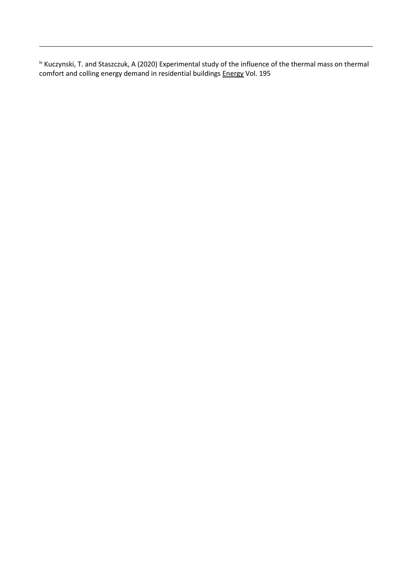iv Kuczynski, T. and Staszczuk, A (2020) Experimental study of the influence of the thermal mass on thermal comfort and colling energy demand in residential buildings Energy Vol. 195

**.**